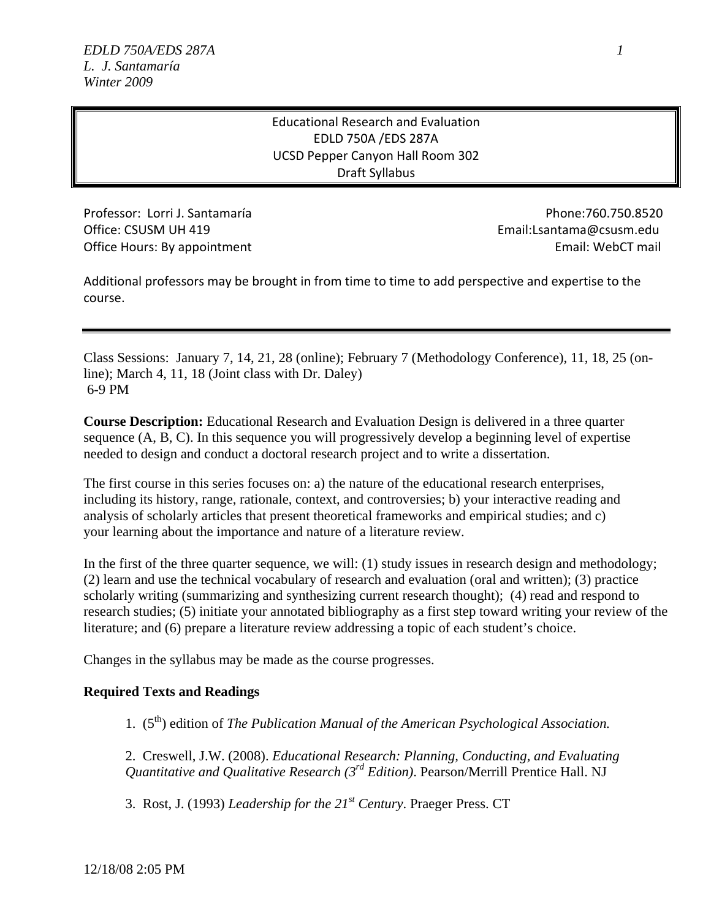# Educational Research and Evaluation EDLD 750A /EDS 287A UCSD Pepper Canyon Hall Room 302 Draft Syllabus

Professor: Lorri J. Santamaría **Phone:760.750.8520** Office: CSUSM UH 419

Office Hours: By appointment **Email:** WebCT mail: WebCT mail: Email: Lsantama@csusm.edu

 Additional professors may be brought in from time to time to add perspective and expertise to the course.

Class Sessions: January 7, 14, 21, 28 (online); February 7 (Methodology Conference), 11, 18, 25 (online); March 4, 11, 18 (Joint class with Dr. Daley) 6-9 PM

**Course Description:** Educational Research and Evaluation Design is delivered in a three quarter sequence (A, B, C). In this sequence you will progressively develop a beginning level of expertise needed to design and conduct a doctoral research project and to write a dissertation.

The first course in this series focuses on: a) the nature of the educational research enterprises, including its history, range, rationale, context, and controversies; b) your interactive reading and analysis of scholarly articles that present theoretical frameworks and empirical studies; and c) your learning about the importance and nature of a literature review.

In the first of the three quarter sequence, we will: (1) study issues in research design and methodology; (2) learn and use the technical vocabulary of research and evaluation (oral and written); (3) practice scholarly writing (summarizing and synthesizing current research thought); (4) read and respond to research studies; (5) initiate your annotated bibliography as a first step toward writing your review of the literature; and (6) prepare a literature review addressing a topic of each student's choice.

Changes in the syllabus may be made as the course progresses.

## **Required Texts and Readings**

1. (5th) edition of *The Publication Manual of the American Psychological Association.* 

2. Creswell, J.W. (2008). *Educational Research: Planning, Conducting, and Evaluating Quantitative and Qualitative Research (3rd Edition)*. Pearson/Merrill Prentice Hall. NJ

3. Rost, J. (1993) *Leadership for the 21st Century*. Praeger Press. CT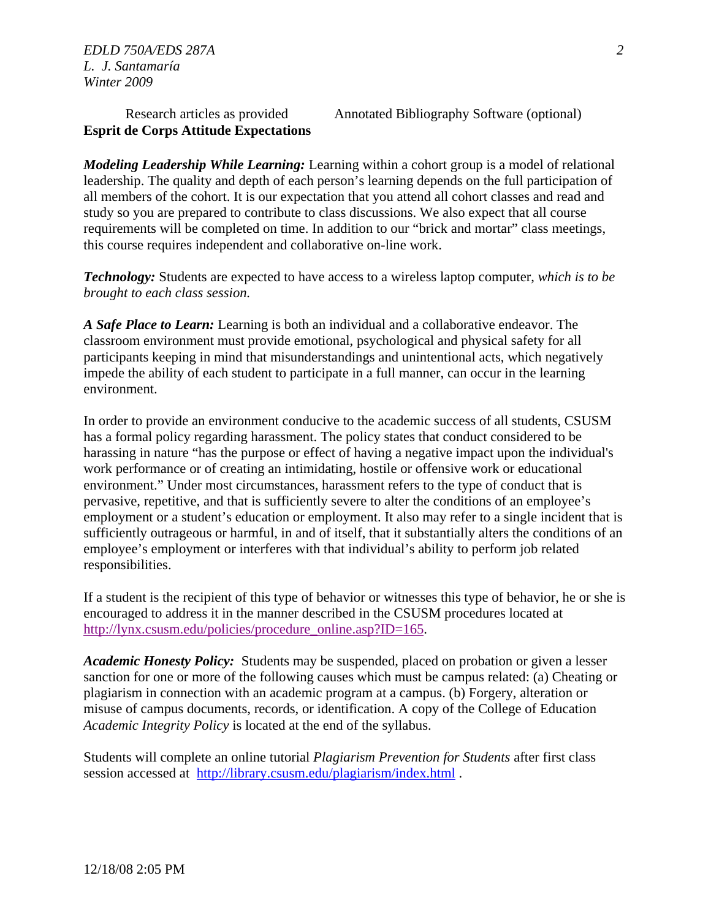# **Esprit de Corps Attitude Expectations**

Research articles as provided Annotated Bibliography Software (optional)

*Modeling Leadership While Learning:* Learning within a cohort group is a model of relational leadership. The quality and depth of each person's learning depends on the full participation of all members of the cohort. It is our expectation that you attend all cohort classes and read and study so you are prepared to contribute to class discussions. We also expect that all course requirements will be completed on time. In addition to our "brick and mortar" class meetings, this course requires independent and collaborative on-line work.

*Technology:* Students are expected to have access to a wireless laptop computer, *which is to be brought to each class session.* 

*A Safe Place to Learn:* Learning is both an individual and a collaborative endeavor. The classroom environment must provide emotional, psychological and physical safety for all participants keeping in mind that misunderstandings and unintentional acts, which negatively impede the ability of each student to participate in a full manner, can occur in the learning environment.

In order to provide an environment conducive to the academic success of all students, CSUSM has a formal policy regarding harassment. The policy states that conduct considered to be harassing in nature "has the purpose or effect of having a negative impact upon the individual's work performance or of creating an intimidating, hostile or offensive work or educational environment." Under most circumstances, harassment refers to the type of conduct that is pervasive, repetitive, and that is sufficiently severe to alter the conditions of an employee's employment or a student's education or employment. It also may refer to a single incident that is sufficiently outrageous or harmful, in and of itself, that it substantially alters the conditions of an employee's employment or interferes with that individual's ability to perform job related responsibilities.

If a student is the recipient of this type of behavior or witnesses this type of behavior, he or she is encouraged to address it in the manner described in the CSUSM procedures located at http://lynx.csusm.edu/policies/procedure\_online.asp?ID=165.

*Academic Honesty Policy:* Students may be suspended, placed on probation or given a lesser sanction for one or more of the following causes which must be campus related: (a) Cheating or plagiarism in connection with an academic program at a campus. (b) Forgery, alteration or misuse of campus documents, records, or identification. A copy of the College of Education *Academic Integrity Policy* is located at the end of the syllabus.

Students will complete an online tutorial *Plagiarism Prevention for Students* after first class session accessed at http://library.csusm.edu/plagiarism/index.html .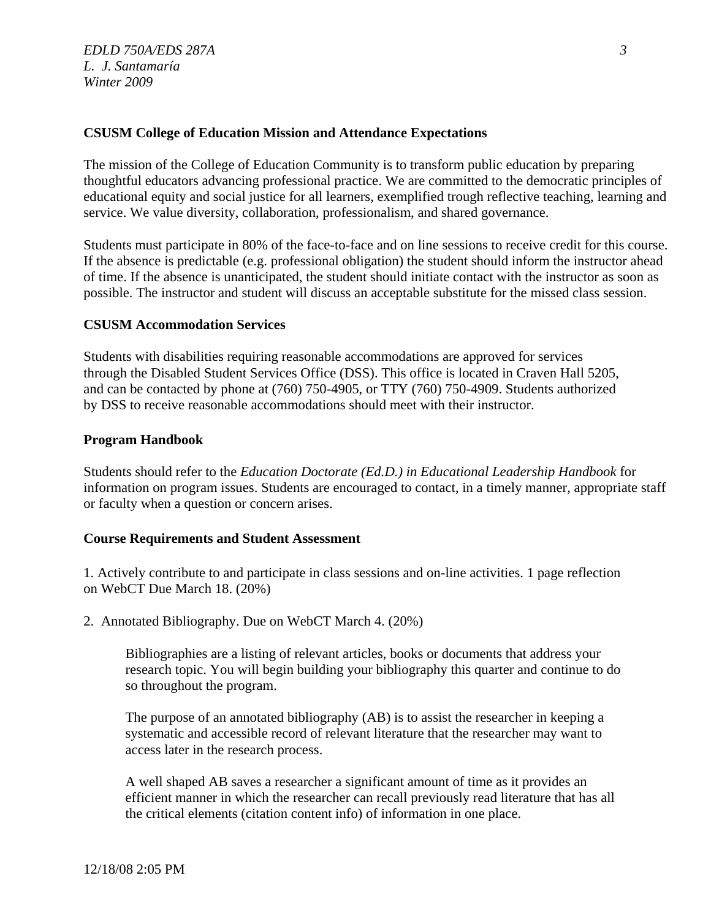## **CSUSM College of Education Mission and Attendance Expectations**

The mission of the College of Education Community is to transform public education by preparing thoughtful educators advancing professional practice. We are committed to the democratic principles of educational equity and social justice for all learners, exemplified trough reflective teaching, learning and service. We value diversity, collaboration, professionalism, and shared governance.

Students must participate in 80% of the face-to-face and on line sessions to receive credit for this course. If the absence is predictable (e.g. professional obligation) the student should inform the instructor ahead of time. If the absence is unanticipated, the student should initiate contact with the instructor as soon as possible. The instructor and student will discuss an acceptable substitute for the missed class session.

## **CSUSM Accommodation Services**

Students with disabilities requiring reasonable accommodations are approved for services through the Disabled Student Services Office (DSS). This office is located in Craven Hall 5205, and can be contacted by phone at (760) 750-4905, or TTY (760) 750-4909. Students authorized by DSS to receive reasonable accommodations should meet with their instructor.

## **Program Handbook**

Students should refer to the *Education Doctorate (Ed.D.) in Educational Leadership Handbook* for information on program issues. Students are encouraged to contact, in a timely manner, appropriate staff or faculty when a question or concern arises.

## **Course Requirements and Student Assessment**

1. Actively contribute to and participate in class sessions and on-line activities. 1 page reflection on WebCT Due March 18. (20%)

2. Annotated Bibliography. Due on WebCT March 4. (20%)

Bibliographies are a listing of relevant articles, books or documents that address your research topic. You will begin building your bibliography this quarter and continue to do so throughout the program.

The purpose of an annotated bibliography (AB) is to assist the researcher in keeping a systematic and accessible record of relevant literature that the researcher may want to access later in the research process.

A well shaped AB saves a researcher a significant amount of time as it provides an efficient manner in which the researcher can recall previously read literature that has all the critical elements (citation content info) of information in one place.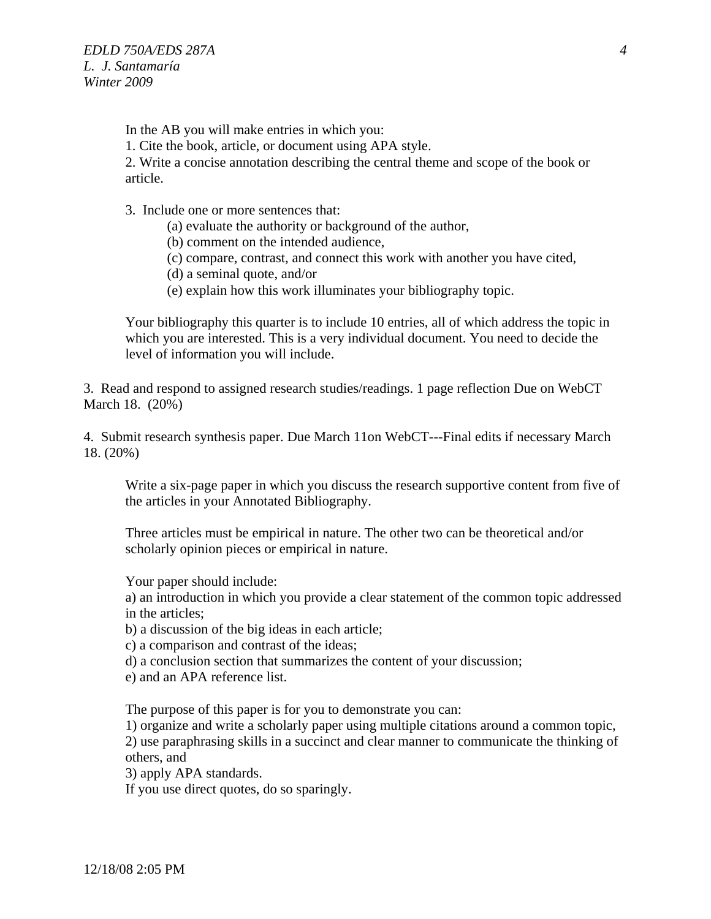In the AB you will make entries in which you:

1. Cite the book, article, or document using APA style.

2. Write a concise annotation describing the central theme and scope of the book or article.

3. Include one or more sentences that:

(a) evaluate the authority or background of the author,

(b) comment on the intended audience,

(c) compare, contrast, and connect this work with another you have cited,

- (d) a seminal quote, and/or
- (e) explain how this work illuminates your bibliography topic.

level of information you will include. Your bibliography this quarter is to include 10 entries, all of which address the topic in which you are interested. This is a very individual document. You need to decide the

3. Read and respond to assigned research studies/readings. 1 page reflection Due on WebCT March 18. (20%)

4. Submit research synthesis paper. Due March 11on WebCT---Final edits if necessary March 18. (20%)

Write a six-page paper in which you discuss the research supportive content from five of the articles in your Annotated Bibliography.

Three articles must be empirical in nature. The other two can be theoretical and/or scholarly opinion pieces or empirical in nature.

Your paper should include:

a) an introduction in which you provide a clear statement of the common topic addressed in the articles;

b) a discussion of the big ideas in each article;

c) a comparison and contrast of the ideas;

d) a conclusion section that summarizes the content of your discussion;

e) and an APA reference list.

The purpose of this paper is for you to demonstrate you can:

1) organize and write a scholarly paper using multiple citations around a common topic,

2) use paraphrasing skills in a succinct and clear manner to communicate the thinking of others, and

3) apply APA standards.

If you use direct quotes, do so sparingly.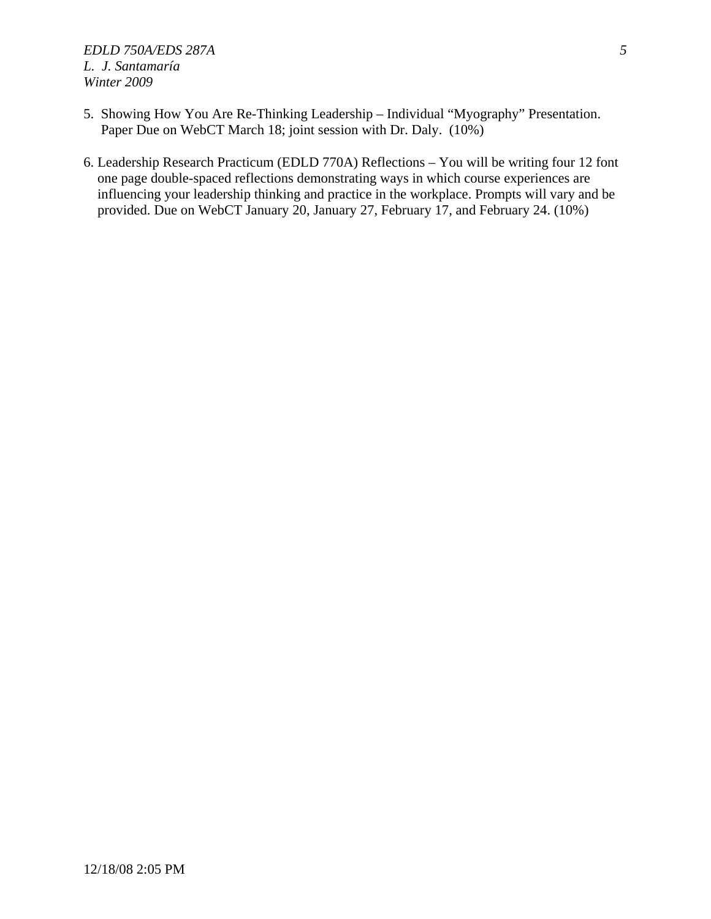- 5. Showing How You Are Re-Thinking Leadership Individual "Myography" Presentation. Paper Due on WebCT March 18; joint session with Dr. Daly. (10%)
- 6. Leadership Research Practicum (EDLD 770A) Reflections You will be writing four 12 font one page double-spaced reflections demonstrating ways in which course experiences are influencing your leadership thinking and practice in the workplace. Prompts will vary and be provided. Due on WebCT January 20, January 27, February 17, and February 24. (10%)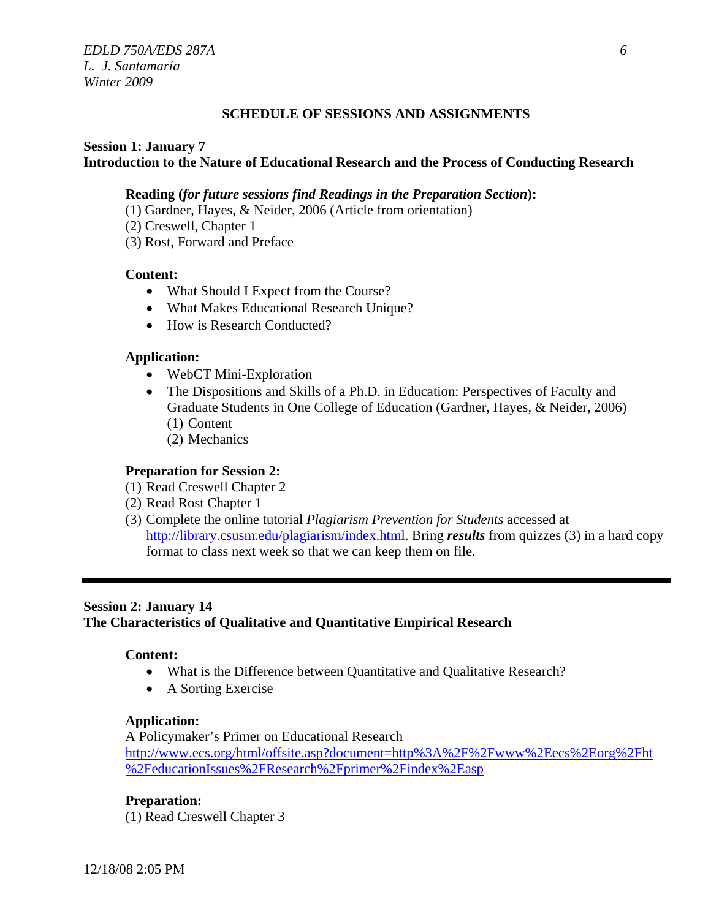## **SCHEDULE OF SESSIONS AND ASSIGNMENTS**

# **Session 1: January 7 Introduction to the Nature of Educational Research and the Process of Conducting Research**

## **Reading (***for future sessions find Readings in the Preparation Section***):**

- (1) Gardner, Hayes, & Neider, 2006 (Article from orientation)
- (2) Creswell, Chapter 1
- (3) Rost, Forward and Preface

## **Content:**

- What Should I Expect from the Course?
- What Makes Educational Research Unique?
- How is Research Conducted?

## **Application:**

- WebCT Mini-Exploration
- The Dispositions and Skills of a Ph.D. in Education: Perspectives of Faculty and Graduate Students in One College of Education (Gardner, Hayes, & Neider, 2006) (1) Content
	- (2) Mechanics

## **Preparation for Session 2:**

- (1) Read Creswell Chapter 2
- (2) Read Rost Chapter 1
- (3) Complete the online tutorial *Plagiarism Prevention for Students* accessed at http://library.csusm.edu/plagiarism/index.html. Bring *results* from quizzes (3) in a hard copy format to class next week so that we can keep them on file.

## **Session 2: January 14**

## **The Characteristics of Qualitative and Quantitative Empirical Research**

## **Content:**

- What is the Difference between Quantitative and Qualitative Research?
- • A Sorting Exercise

## **Application:**

A Policymaker's Primer on Educational Research http://www.ecs.org/html/offsite.asp?document=http%3A%2F%2Fwww%2Eecs%2Eorg%2Fht %2FeducationIssues%2FResearch%2Fprimer%2Findex%2Easp

**Preparation:** 

(1) Read Creswell Chapter 3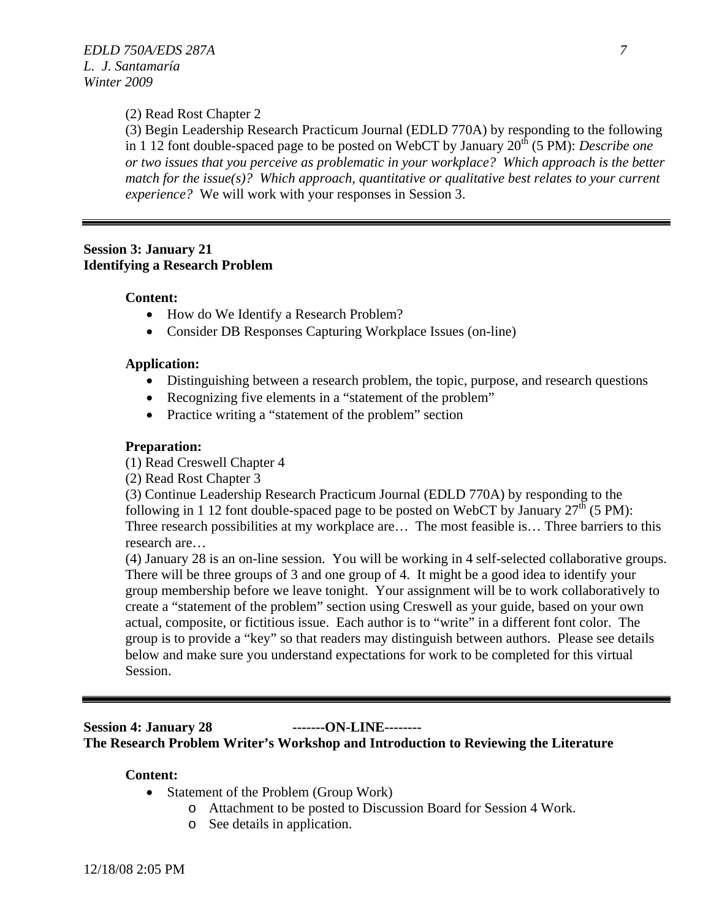## (2) Read Rost Chapter 2

(3) Begin Leadership Research Practicum Journal (EDLD 770A) by responding to the following in 1 12 font double-spaced page to be posted on WebCT by January 20<sup>th</sup> (5 PM): *Describe one or two issues that you perceive as problematic in your workplace? Which approach is the better match for the issue(s)? Which approach, quantitative or qualitative best relates to your current experience?* We will work with your responses in Session 3.

## **Session 3: January 21 Identifying a Research Problem**

#### **Content:**

- How do We Identify a Research Problem?
- Consider DB Responses Capturing Workplace Issues (on-line)

#### **Application:**

- Distinguishing between a research problem, the topic, purpose, and research questions
- Recognizing five elements in a "statement of the problem"
- Practice writing a "statement of the problem" section

#### **Preparation:**

(1) Read Creswell Chapter 4

(2) Read Rost Chapter 3

(3) Continue Leadership Research Practicum Journal (EDLD 770A) by responding to the following in 1 12 font double-spaced page to be posted on WebCT by January  $27<sup>th</sup>$  (5 PM): Three research possibilities at my workplace are… The most feasible is… Three barriers to this research are…

(4) January 28 is an on-line session. You will be working in 4 self-selected collaborative groups. There will be three groups of 3 and one group of 4. It might be a good idea to identify your group membership before we leave tonight. Your assignment will be to work collaboratively to create a "statement of the problem" section using Creswell as your guide, based on your own actual, composite, or fictitious issue. Each author is to "write" in a different font color. The group is to provide a "key" so that readers may distinguish between authors. Please see details below and make sure you understand expectations for work to be completed for this virtual Session.

## **Session 4: January 28 -------ON-LINE-------- The Research Problem Writer's Workshop and Introduction to Reviewing the Literature**

## **Content:**

- Statement of the Problem (Group Work)
	- o Attachment to be posted to Discussion Board for Session 4 Work.
	- o See details in application.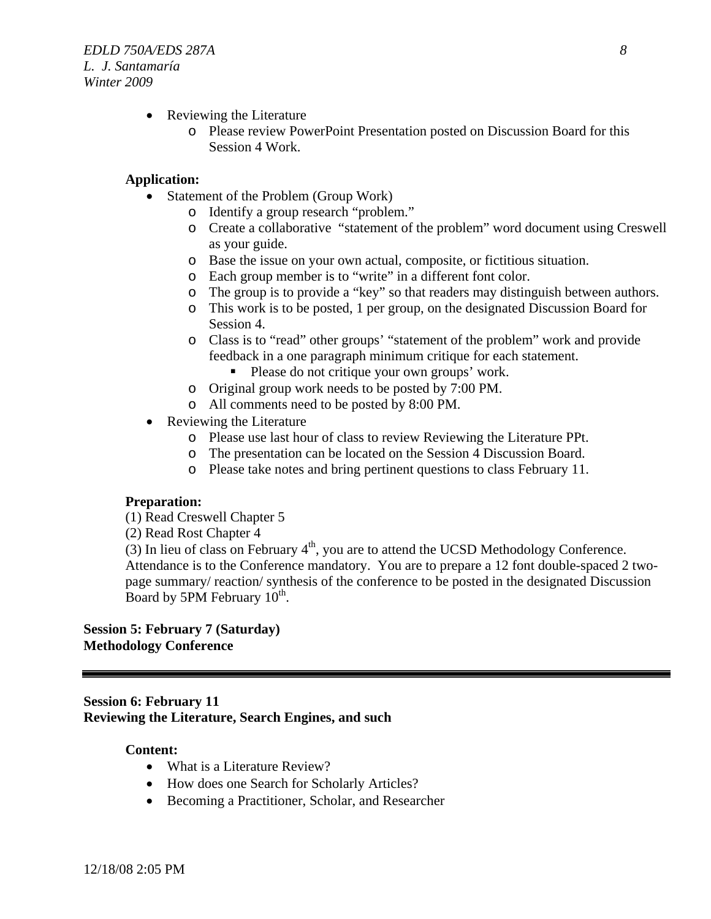- Reviewing the Literature
	- o Please review PowerPoint Presentation posted on Discussion Board for this Session 4 Work.

## **Application:**

- Statement of the Problem (Group Work)
	- o Identify a group research "problem."
	- o Create a collaborative "statement of the problem" word document using Creswell as your guide.
	- o Base the issue on your own actual, composite, or fictitious situation.
	- o Each group member is to "write" in a different font color.
	- o The group is to provide a "key" so that readers may distinguish between authors.
	- o This work is to be posted, 1 per group, on the designated Discussion Board for Session 4.
	- o Class is to "read" other groups' "statement of the problem" work and provide feedback in a one paragraph minimum critique for each statement.
		- Please do not critique your own groups' work.
	- o Original group work needs to be posted by 7:00 PM.
	- o All comments need to be posted by 8:00 PM.
- Reviewing the Literature
	- o Please use last hour of class to review Reviewing the Literature PPt.
	- o The presentation can be located on the Session 4 Discussion Board.
	- o Please take notes and bring pertinent questions to class February 11.

## **Preparation:**

- (1) Read Creswell Chapter 5
- (2) Read Rost Chapter 4

 $(3)$  In lieu of class on February  $4<sup>th</sup>$ , you are to attend the UCSD Methodology Conference. Attendance is to the Conference mandatory. You are to prepare a 12 font double-spaced 2 twopage summary/ reaction/ synthesis of the conference to be posted in the designated Discussion Board by 5PM February  $10^{th}$ .

## **Session 5: February 7 (Saturday) Methodology Conference**

## **Session 6: February 11 Reviewing the Literature, Search Engines, and such**

## **Content:**

- What is a Literature Review?
- How does one Search for Scholarly Articles?
- Becoming a Practitioner, Scholar, and Researcher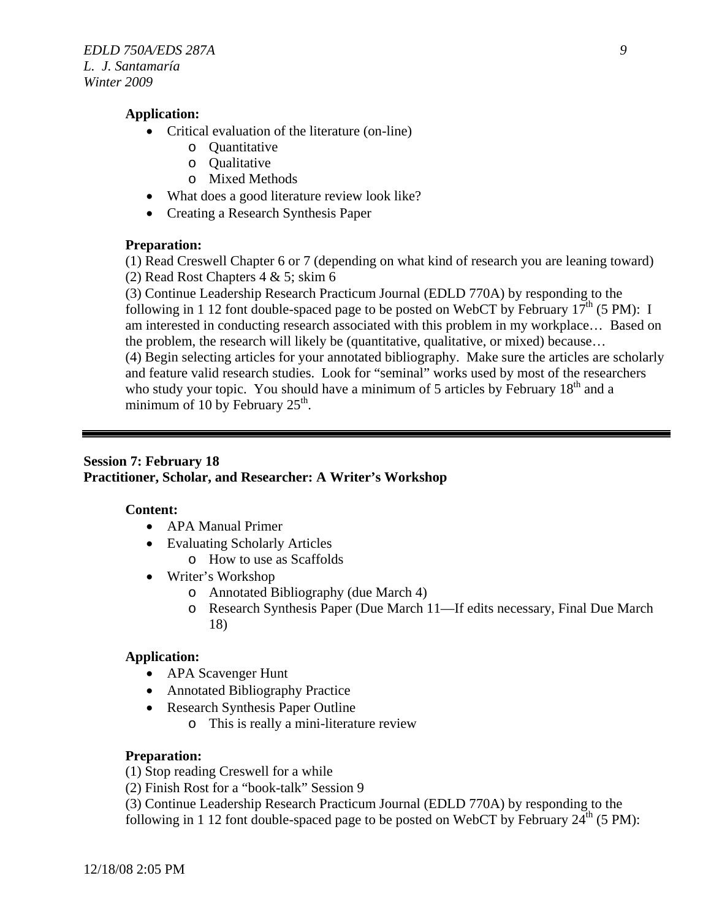## **Application:**

- Critical evaluation of the literature (on-line)
	- o Quantitative
	- o Qualitative
	- o Mixed Methods
- What does a good literature review look like?
- Creating a Research Synthesis Paper

## **Preparation:**

(1) Read Creswell Chapter 6 or 7 (depending on what kind of research you are leaning toward) (2) Read Rost Chapters 4 & 5; skim 6

(3) Continue Leadership Research Practicum Journal (EDLD 770A) by responding to the following in 1 12 font double-spaced page to be posted on WebCT by February  $17<sup>th</sup>$  (5 PM): I am interested in conducting research associated with this problem in my workplace… Based on the problem, the research will likely be (quantitative, qualitative, or mixed) because… (4) Begin selecting articles for your annotated bibliography. Make sure the articles are scholarly and feature valid research studies. Look for "seminal" works used by most of the researchers who study your topic. You should have a minimum of 5 articles by February 18<sup>th</sup> and a minimum of 10 by February  $25<sup>th</sup>$ .

## **Session 7: February 18 Practitioner, Scholar, and Researcher: A Writer's Workshop**

## **Content:**

- APA Manual Primer
- Evaluating Scholarly Articles
	- o How to use as Scaffolds
- Writer's Workshop
	- o Annotated Bibliography (due March 4)
	- o Research Synthesis Paper (Due March 11—If edits necessary, Final Due March 18)

## **Application:**

- APA Scavenger Hunt
- Annotated Bibliography Practice
- Research Synthesis Paper Outline
	- o This is really a mini-literature review

## **Preparation:**

(1) Stop reading Creswell for a while

(2) Finish Rost for a "book-talk" Session 9

(3) Continue Leadership Research Practicum Journal (EDLD 770A) by responding to the following in 1 12 font double-spaced page to be posted on WebCT by February  $24<sup>th</sup>$  (5 PM):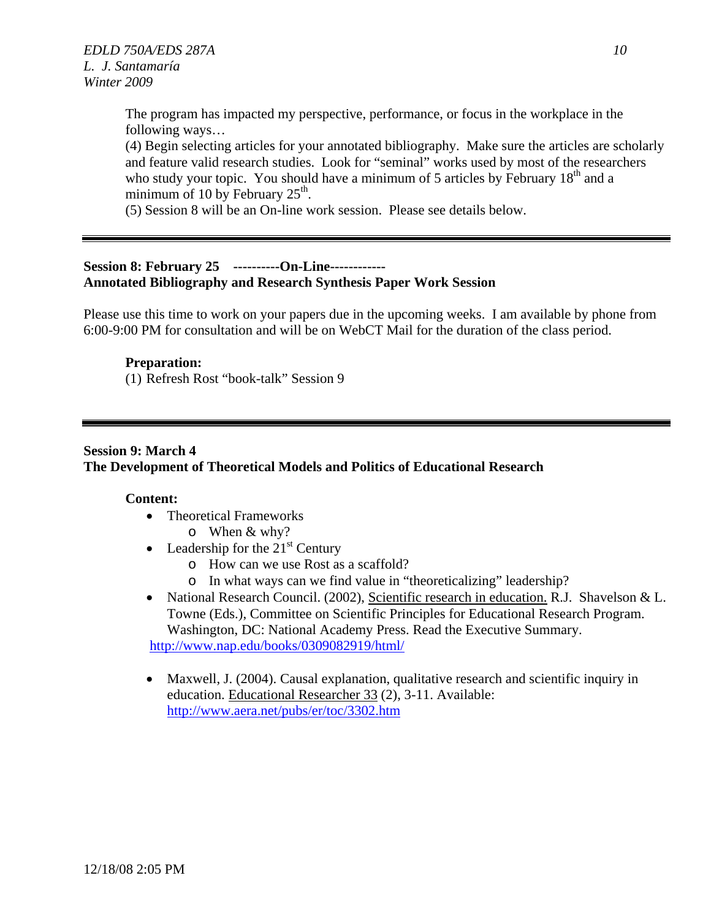The program has impacted my perspective, performance, or focus in the workplace in the following ways…

(4) Begin selecting articles for your annotated bibliography. Make sure the articles are scholarly and feature valid research studies. Look for "seminal" works used by most of the researchers who study your topic. You should have a minimum of 5 articles by February  $18<sup>th</sup>$  and a minimum of 10 by February  $25<sup>th</sup>$ .

(5) Session 8 will be an On-line work session. Please see details below.

# **Session 8: February 25 ----------On-Line------------ Annotated Bibliography and Research Synthesis Paper Work Session**

Please use this time to work on your papers due in the upcoming weeks. I am available by phone from 6:00-9:00 PM for consultation and will be on WebCT Mail for the duration of the class period.

# **Preparation:**

(1) Refresh Rost "book-talk" Session 9

# **Session 9: March 4 The Development of Theoretical Models and Politics of Educational Research**

## **Content:**

- Theoretical Frameworks  $\circ$  When & why?
- Leadership for the  $21<sup>st</sup>$  Century
	- o How can we use Rost as a scaffold?
	- o In what ways can we find value in "theoreticalizing" leadership?
- National Research Council. (2002), Scientific research in education. R.J. Shavelson & L. Towne (Eds.), Committee on Scientific Principles for Educational Research Program. Washington, DC: National Academy Press. Read the Executive Summary. http://www.nap.edu/books/0309082919/html/
- Maxwell, J. (2004). Causal explanation, qualitative research and scientific inquiry in education. Educational Researcher 33 (2), 3-11. Available: http://www.aera.net/pubs/er/toc/3302.htm